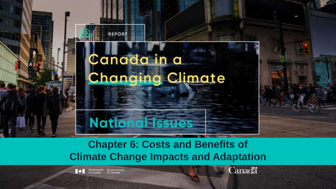

# **Chapter 6: Costs and Benefits of Climate Change Impacts and Adaptation**

Gouvemement

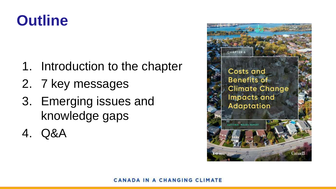# **Outline**

- 1. Introduction to the chapter
- 2. 7 key messages
- 3. Emerging issues and knowledge gaps
- 4. Q&A

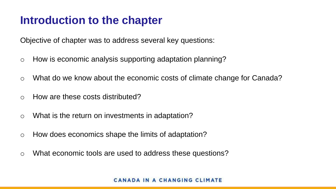# **Introduction to the chapter**

Objective of chapter was to address several key questions:

- o How is economic analysis supporting adaptation planning?
- o What do we know about the economic costs of climate change for Canada?
- o How are these costs distributed?
- o What is the return on investments in adaptation?
- o How does economics shape the limits of adaptation?
- o What economic tools are used to address these questions?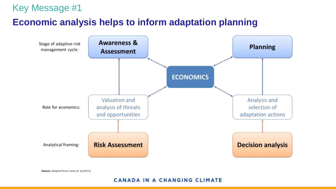#### **Economic analysis helps to inform adaptation planning**



Source: Adapted from Jones et al (2013)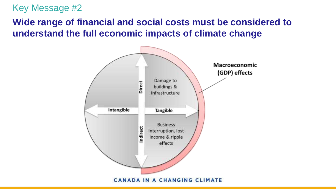# **Wide range of financial and social costs must be considered to understand the full economic impacts of climate change**

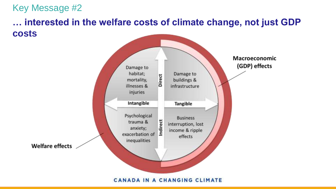## **… interested in the welfare costs of climate change, not just GDP costs**

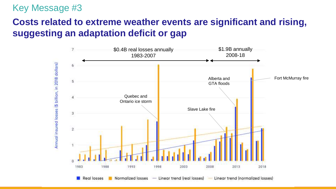# **Costs related to extreme weather events are significant and rising, suggesting an adaptation deficit or gap**

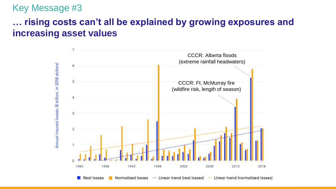# **… rising costs can't all be explained by growing exposures and increasing asset values**

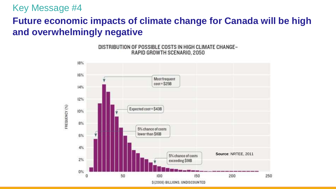# **Future economic impacts of climate change for Canada will be high and overwhelmingly negative**



DISTRIBUTION OF POSSIBLE COSTS IN HIGH CLIMATE CHANGE-RAPID GROWTH SCENARIO, 2050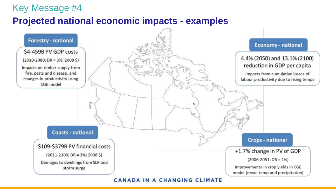### **Projected national economic impacts - examples**

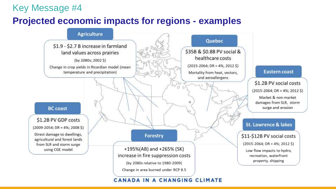#### **Projected economic impacts for regions - examples**

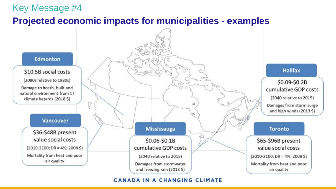#### **Projected economic impacts for municipalities - examples**

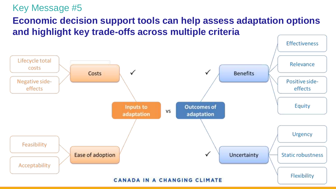# **Economic decision support tools can help assess adaptation options and highlight key trade-offs across multiple criteria**

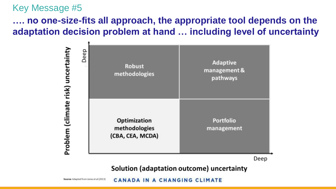# **…. no one-size-fits all approach, the appropriate tool depends on the adaptation decision problem at hand … including level of uncertainty**



Deep

Solution (adaptation outcome) uncertainty

Source: Adapted from Jones et al (2013) CANADA IN A CHANGING CLIMATE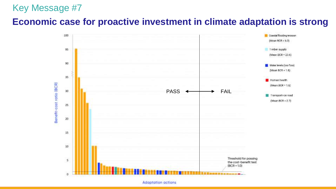#### **Economic case for proactive investment in climate adaptation is strong**

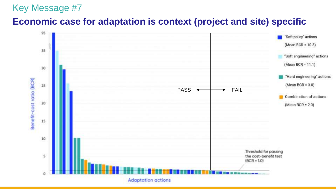## **Economic case for adaptation is context (project and site) specific**

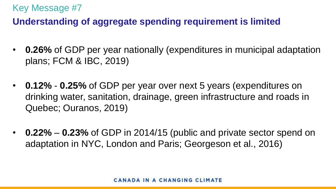# **Understanding of aggregate spending requirement is limited**

- **0.26%** of GDP per year nationally (expenditures in municipal adaptation plans; FCM & IBC, 2019)
- **0.12% 0.25%** of GDP per year over next 5 years (expenditures on drinking water, sanitation, drainage, green infrastructure and roads in Quebec; Ouranos, 2019)
- **0.22% 0.23%** of GDP in 2014/15 (public and private sector spend on adaptation in NYC, London and Paris; Georgeson et al., 2016)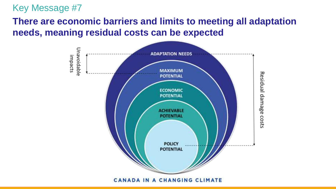# **There are economic barriers and limits to meeting all adaptation needs, meaning residual costs can be expected**

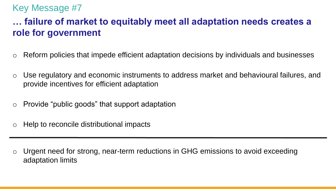# **… failure of market to equitably meet all adaptation needs creates a role for government**

- Reform policies that impede efficient adaptation decisions by individuals and businesses
- Use regulatory and economic instruments to address market and behavioural failures, and provide incentives for efficient adaptation
- Provide "public goods" that support adaptation
- Help to reconcile distributional impacts

Urgent need for strong, near-term reductions in GHG emissions to avoid exceeding adaptation limits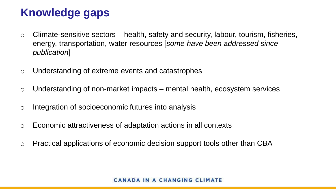# **Knowledge gaps**

- $\circ$  Climate-sensitive sectors health, safety and security, labour, tourism, fisheries, energy, transportation, water resources [*some have been addressed since publication*]
- o Understanding of extreme events and catastrophes
- o Understanding of non-market impacts mental health, ecosystem services
- o Integration of socioeconomic futures into analysis
- o Economic attractiveness of adaptation actions in all contexts
- o Practical applications of economic decision support tools other than CBA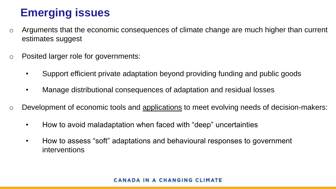# **Emerging issues**

- o Arguments that the economic consequences of climate change are much higher than current estimates suggest
- o Posited larger role for governments:
	- Support efficient private adaptation beyond providing funding and public goods
	- Manage distributional consequences of adaptation and residual losses
- o Development of economic tools and applications to meet evolving needs of decision-makers:
	- How to avoid maladaptation when faced with "deep" uncertainties
	- How to assess "soft" adaptations and behavioural responses to government interventions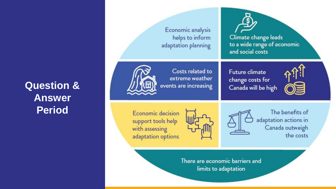# **Question & Answer Period**

Economic analysis helps to inform adaptation planning

Climate change leads to a wide range of economic and social costs



Costs related to extreme weather events are increasing Future climate change costs for Canada will be high



Economic decision support tools help with assessing adaptation options





The benefits of adaptation actions in Canada outweigh the costs

There are economic barriers and limits to adaptation